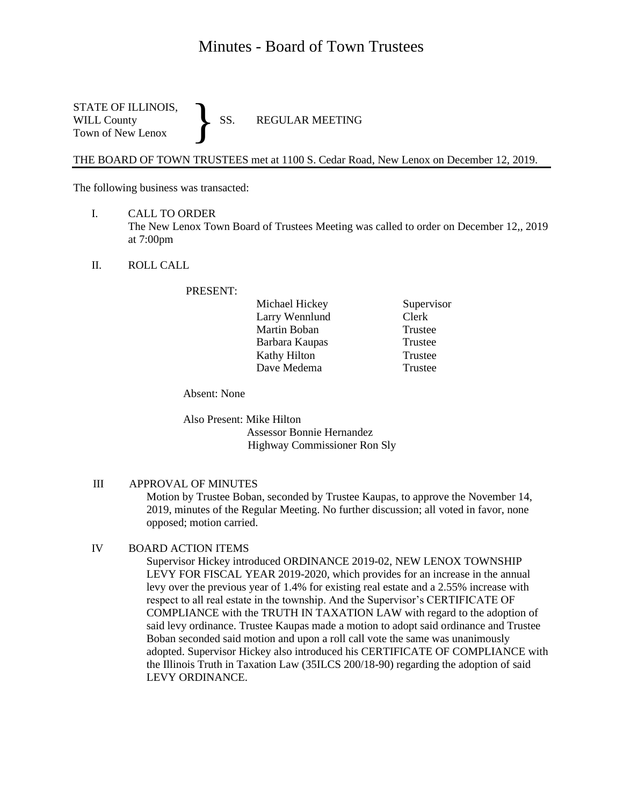# Minutes - Board of Town Trustees

STATE OF ILLINOIS,<br>WILL County SS. WILL County SS. REGULAR MEETING Town of New Lenox }

THE BOARD OF TOWN TRUSTEES met at 1100 S. Cedar Road, New Lenox on December 12, 2019.

The following business was transacted:

- I. CALL TO ORDER The New Lenox Town Board of Trustees Meeting was called to order on December 12,, 2019 at 7:00pm
- II. ROLL CALL

PRESENT:

| Michael Hickey      |
|---------------------|
| Larry Wennlund      |
| Martin Boban        |
| Barbara Kaupas      |
| <b>Kathy Hilton</b> |
| Dave Medema         |

Supervisor Clerk Trustee Trustee Trustee **Trustee** 

Absent: None

Also Present: Mike Hilton Assessor Bonnie Hernandez Highway Commissioner Ron Sly

### III APPROVAL OF MINUTES

Motion by Trustee Boban, seconded by Trustee Kaupas, to approve the November 14, 2019, minutes of the Regular Meeting. No further discussion; all voted in favor, none opposed; motion carried.

## IV BOARD ACTION ITEMS

Supervisor Hickey introduced ORDINANCE 2019-02, NEW LENOX TOWNSHIP LEVY FOR FISCAL YEAR 2019-2020, which provides for an increase in the annual levy over the previous year of 1.4% for existing real estate and a 2.55% increase with respect to all real estate in the township. And the Supervisor's CERTIFICATE OF COMPLIANCE with the TRUTH IN TAXATION LAW with regard to the adoption of said levy ordinance. Trustee Kaupas made a motion to adopt said ordinance and Trustee Boban seconded said motion and upon a roll call vote the same was unanimously adopted. Supervisor Hickey also introduced his CERTIFICATE OF COMPLIANCE with the Illinois Truth in Taxation Law (35ILCS 200/18-90) regarding the adoption of said LEVY ORDINANCE.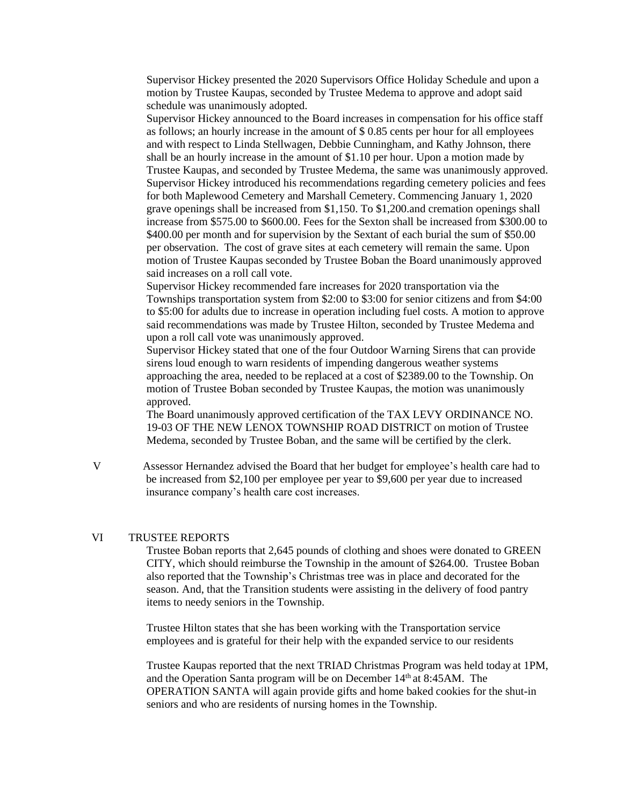Supervisor Hickey presented the 2020 Supervisors Office Holiday Schedule and upon a motion by Trustee Kaupas, seconded by Trustee Medema to approve and adopt said schedule was unanimously adopted.

Supervisor Hickey announced to the Board increases in compensation for his office staff as follows; an hourly increase in the amount of \$ 0.85 cents per hour for all employees and with respect to Linda Stellwagen, Debbie Cunningham, and Kathy Johnson, there shall be an hourly increase in the amount of \$1.10 per hour. Upon a motion made by Trustee Kaupas, and seconded by Trustee Medema, the same was unanimously approved. Supervisor Hickey introduced his recommendations regarding cemetery policies and fees for both Maplewood Cemetery and Marshall Cemetery. Commencing January 1, 2020 grave openings shall be increased from \$1,150. To \$1,200.and cremation openings shall increase from \$575.00 to \$600.00. Fees for the Sexton shall be increased from \$300.00 to \$400.00 per month and for supervision by the Sextant of each burial the sum of \$50.00 per observation. The cost of grave sites at each cemetery will remain the same. Upon motion of Trustee Kaupas seconded by Trustee Boban the Board unanimously approved said increases on a roll call vote.

Supervisor Hickey recommended fare increases for 2020 transportation via the Townships transportation system from \$2:00 to \$3:00 for senior citizens and from \$4:00 to \$5:00 for adults due to increase in operation including fuel costs. A motion to approve said recommendations was made by Trustee Hilton, seconded by Trustee Medema and upon a roll call vote was unanimously approved.

Supervisor Hickey stated that one of the four Outdoor Warning Sirens that can provide sirens loud enough to warn residents of impending dangerous weather systems approaching the area, needed to be replaced at a cost of \$2389.00 to the Township. On motion of Trustee Boban seconded by Trustee Kaupas, the motion was unanimously approved.

The Board unanimously approved certification of the TAX LEVY ORDINANCE NO. 19-03 OF THE NEW LENOX TOWNSHIP ROAD DISTRICT on motion of Trustee Medema, seconded by Trustee Boban, and the same will be certified by the clerk.

 V Assessor Hernandez advised the Board that her budget for employee's health care had to be increased from \$2,100 per employee per year to \$9,600 per year due to increased insurance company's health care cost increases.

#### VI TRUSTEE REPORTS

Trustee Boban reports that 2,645 pounds of clothing and shoes were donated to GREEN CITY, which should reimburse the Township in the amount of \$264.00. Trustee Boban also reported that the Township's Christmas tree was in place and decorated for the season. And, that the Transition students were assisting in the delivery of food pantry items to needy seniors in the Township.

Trustee Hilton states that she has been working with the Transportation service employees and is grateful for their help with the expanded service to our residents

Trustee Kaupas reported that the next TRIAD Christmas Program was held today at 1PM, and the Operation Santa program will be on December 14<sup>th</sup> at 8:45AM. The OPERATION SANTA will again provide gifts and home baked cookies for the shut-in seniors and who are residents of nursing homes in the Township.